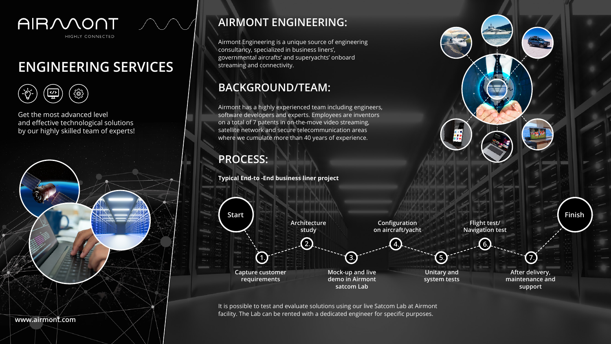## **AIRMONT ENGINEERING:**

## **BACKGROUND/TEAM:**

### **PROCESS:**

Airmont Engineering is a unique source of engineering consultancy, specialized in business liners', governmental aircrafts' and superyachts' onboard streaming and connectivity.

**Typical End-to -End business liner project**

Airmont has a highly experienced team including engineers, software developers and experts. Employees are inventors on a total of 7 patents in on-the-move video streaming, satellite network and secure telecommunication areas where we cumulate more than 40 years of experience.

It is possible to test and evaluate solutions using our live Satcom Lab at Airmont facility. The Lab can be rented with a dedicated engineer for specific purposes.



# **ENGINEERING SERVICES**

 $\{ \stackrel{\sim}{{\mathbb S}} \}$ <u></></u><br>표

Get the most advanced level and effective technological solutions by our highly skilled team of experts!

**www.airmont.com**

**Capture customer requirements**

**After delivery, maintenance and support**

**Mock-up and live demo in Airmont satcom Lab**

**2. 4**.

**Architecture**

**study**

**Configuration on aircraft/yacht**

**Flight test/ Navigation test**

a de<br>190

**1**. **3**. **<sup>3</sup>**. **5**.

**7**.



**Unitary and system tests**